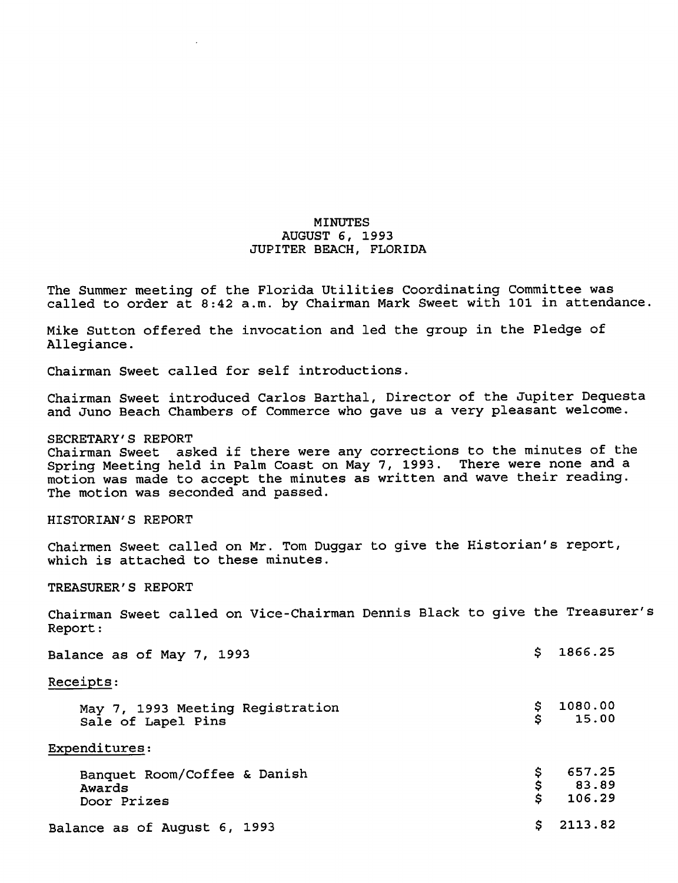# MINUTES AUGUST 6, 1993 JUPITER BEACH, FLORIDA

The Summer meeting of the Florida Utilities Coordinating Committee was called to order  $a\bar{t}$  8:42 a.m. by Chairman Mark Sweet with 101 in attendance.

Mike Sutton offered the invocation and led the group in the Pledge of Allegiance.

Chairman Sweet called for self introductions.

Chairman Sweet introduced Carlos Barthal, Director of the Jupiter Dequesta and Juno Beach Chambers of Commerce who gave us a very pleasant welcome.

## SECRETARY'S REPORT

Chairman Sweet asked if there were any corrections to the minutes of the Spring Meeting held in Palm Coast on May 7, 1993. There were none and a motion was made to accept the minutes as written and wave their reading. The motion was seconded and passed.

# HISTORIAN'S REPORT

Chairmen Sweet called on Mr. Tom Duggar to give the Historian's report, which is attached to these minutes.

TREASURER'S REPORT

Chairman Sweet called on Vice-Chairman Dennis Black to give the Treasurer's Report:

| Balance as of May 7, 1993                              | S       | 1866.25                                      |
|--------------------------------------------------------|---------|----------------------------------------------|
| Receipts:                                              |         |                                              |
| May 7, 1993 Meeting Registration<br>Sale of Lapel Pins | \$<br>S | 1080.00<br>15.00                             |
| Expenditures:                                          |         |                                              |
| Banquet Room/Coffee & Danish<br>Awards<br>Door Prizes  |         | 657.25<br>$$657.25$<br>$$83.89$<br>$$106.29$ |
| Balance as of August 6, 1993                           | S.      | 2113.82                                      |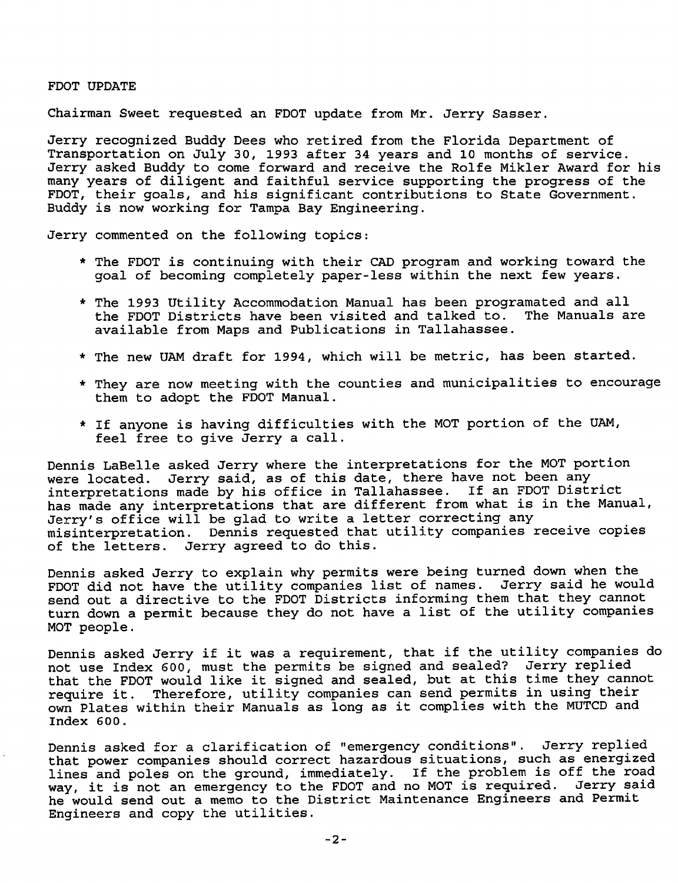### FOOT UPDATE

Chairman Sweet requested an FDOT update from Mr. Jerry Sasser.

Jerry recognized Buddy Dees who retired from the Florida Department of Transportation on July 30, 1993 after 34 years and 10 months of service. Jerry asked Buddy to come forward and receive the Rolfe Mikler Award for his many years of diligent and faithful service supporting the progress of the FDOT, their goals, and his significant contributions to State Government. Buddy is now working for Tampa Bay Engineering.

Jerry commented on the following topics:

- \* The FDOT is continuing with their CAD program and working toward the goal of becoming completely paper-less within the next few years.
- \* The 1993 Utility Accommodation Manual has been programated and all the FDOT Districts have been visited and talked to. available from Maps and Publications in Tallahassee.
- \* The new UAM draft for 1994, which will be metric, has been started.
- \* They are now meeting with the counties and municipalities to encourage them to adopt the FDOT Manual.
- \* If anyone is having difficulties with the MOT portion of the UAM, feel free to give Jerry a call.

Dennis LaBelle asked Jerry where the interpretations for the MOT portion were located. Jerry said, as of this date, there have not been any interpretations made by his office in Tallahassee. If an FDOT District has made any interpretations that are different from what is in the Manual, Jerry's office will be glad to write a letter correcting any misinterpretation. Dennis requested that utility companies receive copies of the letters. Jerry agreed to do this.

Dennis asked Jerry to explain why permits were being turned down when the FDOT did not have the utility companies list of names. Jerry said he would send out a directive to the FDOT Districts informing them that they cannot turn down a permit because they do not have a list of the utility companies MOT people.

Dennis asked Jerry if it was a requirement, that if the utility companies do not use Index 600, must the permits be signed and sealed? Jerry replied that the FDOT would like it signed and sealed, but at this time they cannot require it. Therefore, utility companies can send permits in using their own Plates within their Manuals as long as it complies with the MUTCD and Index 600.

Dennis asked for a clarification of "emergency conditions". Jerry replied that power companies should correct hazardous situations, such as energized lines and poles on the ground, immediately. If the problem is off the road<br>way, it is not an emergency to the FDOT and no MOT is required. Jerry said way, it is not an emergency to the FDOT and no MOT is required. he would send out a memo to the District Maintenance Engineers and Permit Engineers and copy the utilities.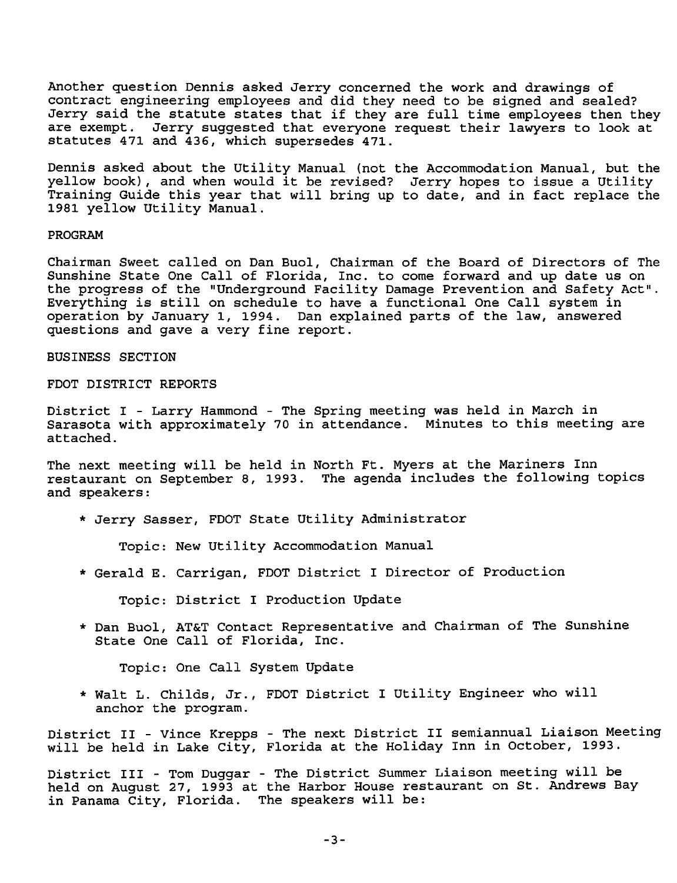Another question Dennis asked Jerry concerned the work and drawings of contract engineering employees and did they need to be signed and sealed? Jerry said the statute states that if they are full time employees then they are exempt. Jerry suggested that everyone request their lawyers to look at statutes 471 and 436, which supersedes 471.

Dennis asked about the Utility Manual (not the Accommodation Manual, but the yellow book), and when would it be revised? Jerry hopes to issue a Utility Training Guide this year that will bring up to date, and in fact replace the 1981 yellow Utility Manual.

#### PROGRAM

Chairman Sweet called on Dan Buol, Chairman of the Board of Directors of The Sunshine State One Call of Florida, Inc. to come forward and up date us on the progress of the "Underground Facility Damage Prevention and Safety Act". Everything is still on schedule to have a functional One Call system in operation by January 1, 1994. Dan explained parts of the law, answered questions and gave a very fine report.

### BUSINESS SECTION

## FDOT DISTRICT REPORTS

District I - Larry Hammond - The Spring meeting was held in March in Sarasota with approximately 70 in attendance. Minutes to this meeting are attached.

The next meeting will be held in North Ft. Myers at the Mariners Inn restaurant on September 8, 1993. The agenda includes the following topics and speakers:

\* Jerry Sasser, FDOT State Utility Administrator

Topic: New Utility Accommodation Manual

\* Gerald E. Carrigan, FDOT District I Director of Production

Topic: District I Production Update

\* Dan Buol, AT&T Contact Representative and Chairman of The Sunshine State One Call of Florida, Inc.

Topic: One Call System Update

\* Walt L. Childs, Jr., FDOT District I Utility Engineer who will anchor the program.

District II - Vince Krepps - The next District II semiannual Liaison Meeting will be held in Lake City, Florida at the Holiday Inn in October, 1993.

District III - Tom Duggar - The District Summer Liaison meeting will be held on August 27, 1993 at the Harbor House restaurant on St. Andrews Bay in Panama City, Florida. The speakers will be: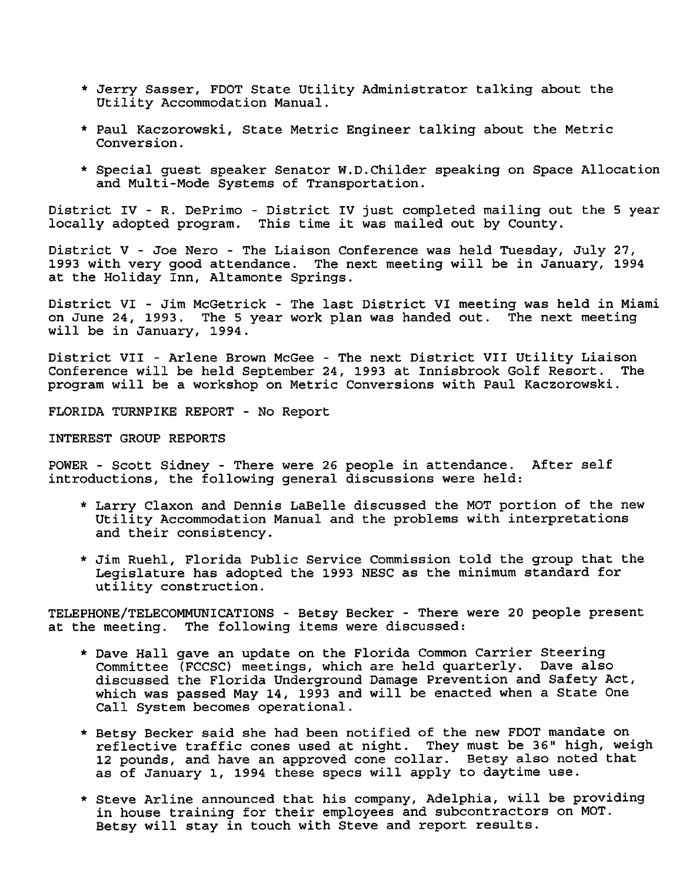- \* Jerry Sasser, FOOT State Utility Administrator talking about the Utility Accommodation Manual.
- \* Paul Kaczorowski, State Metric Engineer talking about the Metric Conversion.
- \* Special guest speaker Senator W.D.Childer speaking on Space Allocation and Multi-Mode Systems of Transportation.

District IV - R. DePrimo - District IV just completed mailing out the 5 year locally adopted program. This time it was mailed out by County.

District V - Joe Nero - The Liaison Conference was held Tuesday, July 27, 1993 with very good attendance. The next meeting will be in January, 1994 at the Holiday Inn, Altamonte Springs.

District VI - Jim McGetrick - The last District VI meeting was held in Miami on June 24, 1993. The 5 year work plan was handed out. The next meeting will be in January, 1994.

District VII - Arlene Brown McGee - The next District VII Utility Liaison Conference will be held September 24, 1993 at Innisbrook Golf Resort. The program will be a workshop on Metric Conversions with Paul Kaczorowski.

FLORIDA TURNPIKE REPORT - No Report

## INTEREST GROUP REPORTS

POWER - Scott Sidney - There were 26 people in attendance. After self introductions, the following general discussions were held:

- \* Larry Claxon and Dennis LaBelle discussed the MOT portion of the new Utility Accommodation Manual and the problems with interpretations and their consistency.
- \* Jim Ruehl, Florida Public Service Commission told the group that the Legislature has adopted the 1993 NESC as the minimum standard for utility construction.

TELEPHONE/TELECOMMUNICATIONS - Betsy Becker - There were 20 people present at the meeting. The following items were discussed:

- \* Dave Hall gave an update on the Florida Common Carrier Steering Committee (FCCSC) meetings, which are held quarterly. Dave also discussed the Florida Underground Damage Prevention and Safety Act, which was passed May 14, 1993 and will be enacted when a State One Call System becomes operational.
- \* Betsy Becker said she had been notified of the new FDOT mandate on reflective traffic cones used at night. They must be 36" high, weigh 12 pounds, and have an approved cone collar. Betsy also noted that as of January 1, 1994 these specs will apply to daytime use.
- \* Steve Arline announced that his company, Adelphia, will be providing in house training for their employees and subcontractors on MOT. Betsy will stay in touch with Steve and report results.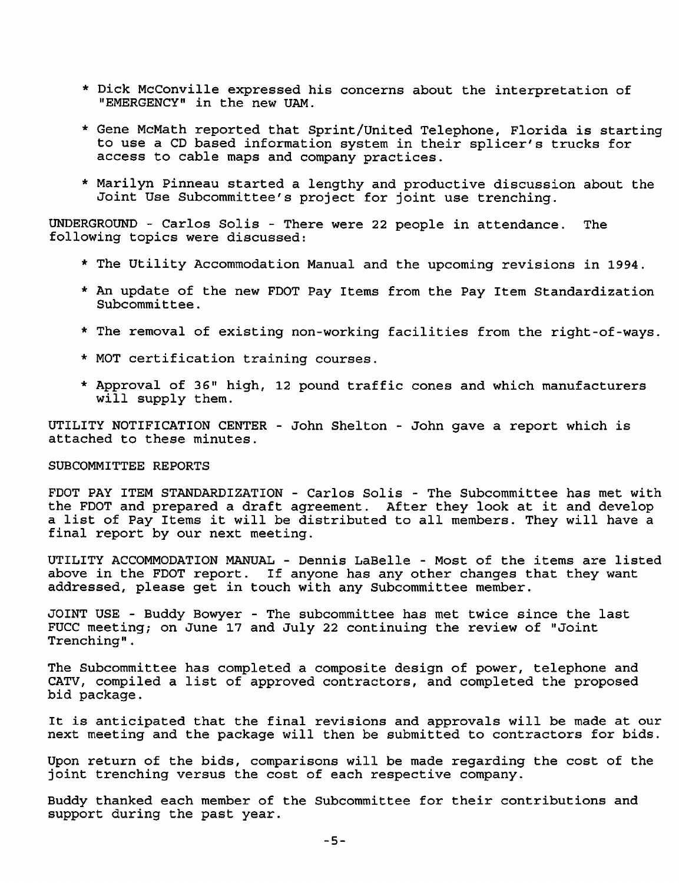- \* Dick McConville expressed his concerns about the interpretation of "EMERGENCY" in the new UAM.
- \* Gene McMath reported that Sprint/United Telephone, Florida is starting to use a CD based information system in their splicer's trucks for access to cable maps and company practices.
- \* Marilyn Pinneau started a lengthy and productive discussion about the Joint Use Subcommittee's project for joint use trenching.

UNDERGROUND - Carlos Soils - There were 22 people in attendance. The following topics were discussed:

- \* The Utility Accommodation Manual and the upcoming revisions in 1994.
- \* An update of the new FDOT Pay Items from the Pay Item Standardization Subcommittee.
- \* The removal of existing non-working facilities from the right-of-ways.
- \* MOT certification training courses.
- \* Approval of 36" high, 12 pound traffic cones and which manufacturers will supply them.

UTILITY NOTIFICATION CENTER - John Shelton - John gave a report which is attached to these minutes.

## SUBCOMMITTEE REPORTS

FDOT PAY ITEM STANDARDIZATION - Carlos Solis - The Subcommittee has met with the FDOT and prepared a draft agreement. After they look at it and develop a list of Pay Items it will be distributed to all members. They will have a final report by our next meeting.

UTILITY ACCOMMODATION MANUAL - Dennis LaBelle - Most of the items are listed above in the FDOT report. If anyone has any other changes that they want addressed, please get in touch with any Subcommittee member.

JOINT USE - Buddy Bowyer - The subcommittee has met twice since the last FUCC meeting; on June 17 and July 22 continuing the review of "Joint Trenching".

The Subcommittee has completed a composite design of power, telephone and CATV, compiled a list of approved contractors, and completed the proposed bid package.

It is anticipated that the final revisions and approvals will be made at our next meeting and the package will then be submitted to contractors for bids.

Upon return of the bids, comparisons will be made regarding the cost of the joint trenching versus the cost of each respective company.

Buddy thanked each member of the Subcommittee for their contributions and support during the past year.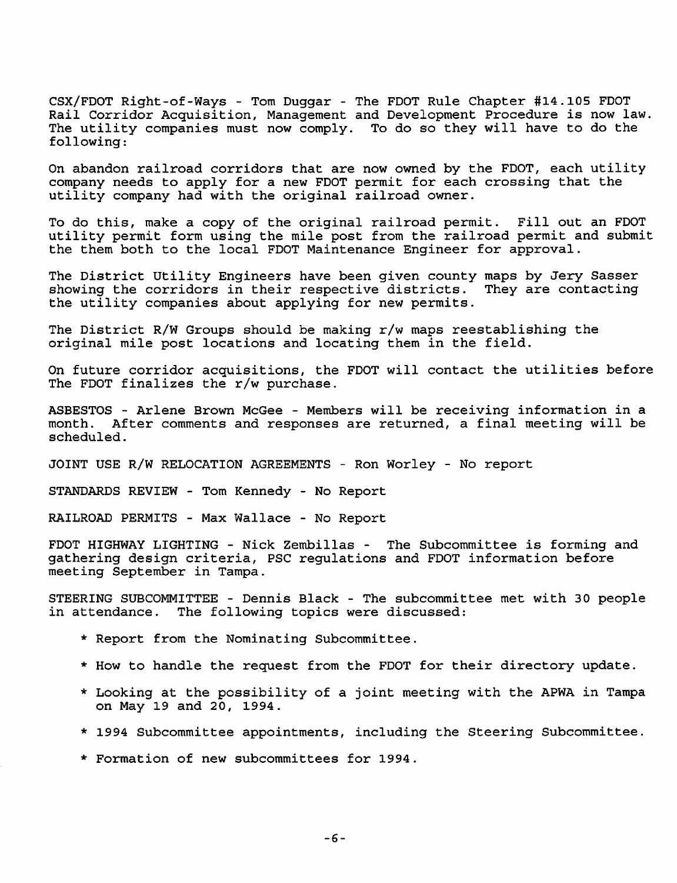CSX/FDOT Right-of-Ways - Tom Duggar - The FOOT Rule Chapter #14.105 FOOT Rail Corridor Acquisition, Management and Development Procedure is now law. The utility companies must now comply. To do so they will have to do the following:

On abandon railroad corridors that are now owned by the FDOT, each utility company needs to apply for a new FDOT permit for each crossing that the utility company had with the original railroad owner.

To do this, make a copy of the original railroad permit. Fill out an FDOT utility permit form using the mile post from the railroad permit and submit the them both to the local FDOT Maintenance Engineer for approval.

The District Utility Engineers have been given county maps by Jery Sasser<br>showing the corridors in their respective districts. They are contacting showing the corridors in their respective districts. the utility companies about applying for new permits.

The District R/W Groups should be making r/w maps reestablishing the original mile post locations and locating them in the field.

On future corridor acquisitions, the FDOT will contact the utilities before The FDOT finalizes the r/w purchase.

ASBESTOS - Arlene Brown McGee - Members will be receiving information in a month. After comments and responses are returned, a final meeting will be scheduled.

JOINT USE R/W RELOCATION AGREEMENTS - Ron Worley - No report

STANDARDS REVIEW - Tom Kennedy - No Report

RAILROAD PERMITS - Max Wallace - No Report

FDOT HIGHWAY LIGHTING - Nick Zembillas - The Subcommittee is forming and gathering design criteria, PSC regulations and FDOT information before meeting September in Tampa.

STEERING SUBCOMMITTEE - Dennis Black - The subcommittee met with 30 people in attendance. The following topics were discussed:

- \* Report from the Nominating Subcommittee.
- \* How to handle the request from the FDOT for their directory update.
- \* Looking at the possibility of a joint meeting with the APWA in Tampa on May 19 and 20, 1994.
- \* 1994 Subcommittee appointments, including the Steering Subcommittee.
- \* Formation of new subcommittees for 1994.